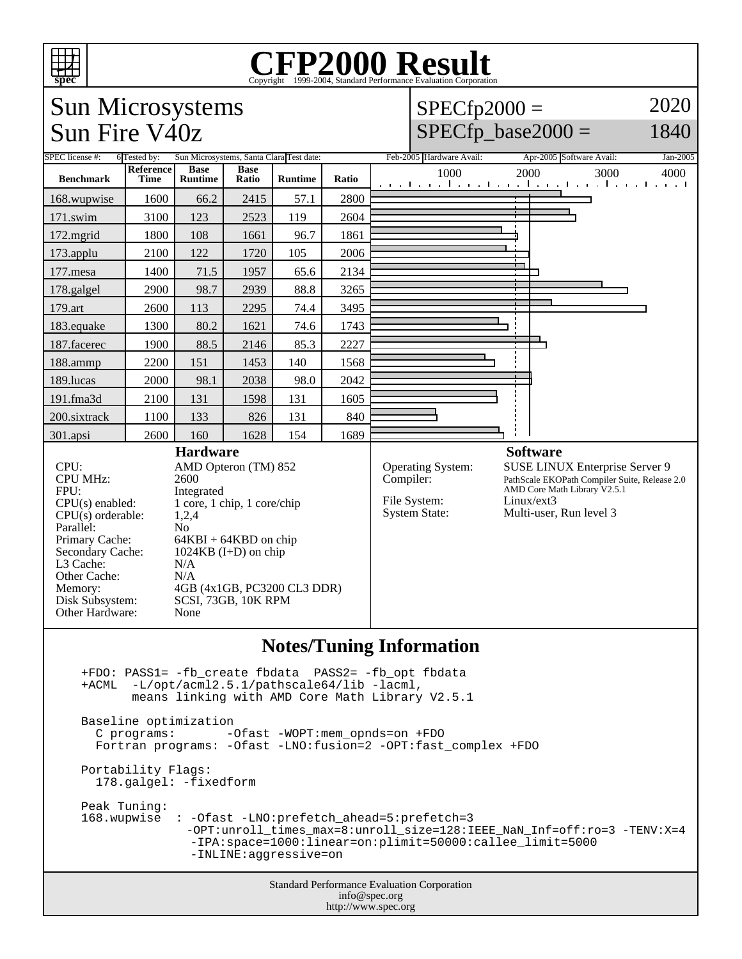

## Copyright ©1999-2004, Standard Performance Evaluation Corporation



 $SPECfp2000 =$ 

 $SPECfp\_base2000 =$ 

2020 1840



Standard Performance Evaluation Corporation info@spec.org http://www.spec.org